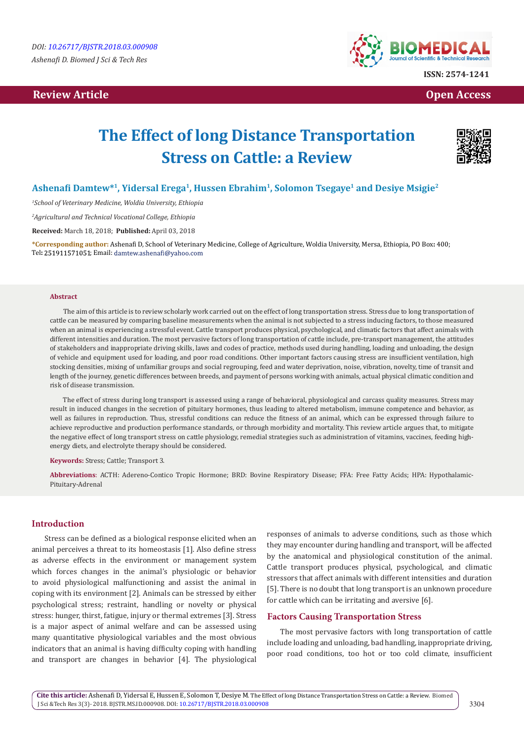# **Review Article Contract Contract Contract Contract Contract Contract Contract Contract Contract Contract Contract Contract Contract Contract Contract Contract Contract Contract Contract Contract Contract Contract Contract**



# **The Effect of long Distance Transportation Stress on Cattle: a Review**



# **Ashenafi Damtew\*1, Yidersal Erega1, Hussen Ebrahim<sup>1</sup>, Solomon Tsegaye<sup>1</sup> and Desiye Msigie<sup>2</sup>**

*1 School of Veterinary Medicine, Woldia University, Ethiopia*

*2 Agricultural and Technical Vocational College, Ethiopia*

**Received:** March 18, 2018; **Published:** April 03, 2018

**\*Corresponding author:** Ashenafi D, School of Veterinary Medicine, College of Agriculture, Woldia University, Mersa, Ethiopia, PO Box**:** 400; Tel: 251911571051; Email: damtew.ashenafi@yahoo.com

#### **Abstract**

The aim of this article is to review scholarly work carried out on the effect of long transportation stress. Stress due to long transportation of cattle can be measured by comparing baseline measurements when the animal is not subjected to a stress inducing factors, to those measured when an animal is experiencing a stressful event. Cattle transport produces physical, psychological, and climatic factors that affect animals with different intensities and duration. The most pervasive factors of long transportation of cattle include, pre-transport management, the attitudes of stakeholders and inappropriate driving skills, laws and codes of practice, methods used during handling, loading and unloading, the design of vehicle and equipment used for loading, and poor road conditions. Other important factors causing stress are insufficient ventilation, high stocking densities, mixing of unfamiliar groups and social regrouping, feed and water deprivation, noise, vibration, novelty, time of transit and length of the journey, genetic differences between breeds, and payment of persons working with animals, actual physical climatic condition and risk of disease transmission.

The effect of stress during long transport is assessed using a range of behavioral, physiological and carcass quality measures. Stress may result in induced changes in the secretion of pituitary hormones, thus leading to altered metabolism, immune competence and behavior, as well as failures in reproduction. Thus, stressful conditions can reduce the fitness of an animal, which can be expressed through failure to achieve reproductive and production performance standards, or through morbidity and mortality. This review article argues that, to mitigate the negative effect of long transport stress on cattle physiology, remedial strategies such as administration of vitamins, vaccines, feeding highenergy diets, and electrolyte therapy should be considered.

**Keywords:** Stress; Cattle; Transport 3.

**Abbreviations**: ACTH: Adereno-Contico Tropic Hormone; BRD: Bovine Respiratory Disease; FFA: Free Fatty Acids; HPA: Hypothalamic-Pituitary-Adrenal

## **Introduction**

Stress can be defined as a biological response elicited when an animal perceives a threat to its homeostasis [1]. Also define stress as adverse effects in the environment or management system which forces changes in the animal's physiologic or behavior to avoid physiological malfunctioning and assist the animal in coping with its environment [2]. Animals can be stressed by either psychological stress; restraint, handling or novelty or physical stress: hunger, thirst, fatigue, injury or thermal extremes [3]. Stress is a major aspect of animal welfare and can be assessed using many quantitative physiological variables and the most obvious indicators that an animal is having difficulty coping with handling and transport are changes in behavior [4]. The physiological

responses of animals to adverse conditions, such as those which they may encounter during handling and transport, will be affected by the anatomical and physiological constitution of the animal. Cattle transport produces physical, psychological, and climatic stressors that affect animals with different intensities and duration [5]. There is no doubt that long transport is an unknown procedure for cattle which can be irritating and aversive [6].

#### **Factors Causing Transportation Stress**

The most pervasive factors with long transportation of cattle include loading and unloading, bad handling, inappropriate driving, poor road conditions, too hot or too cold climate, insufficient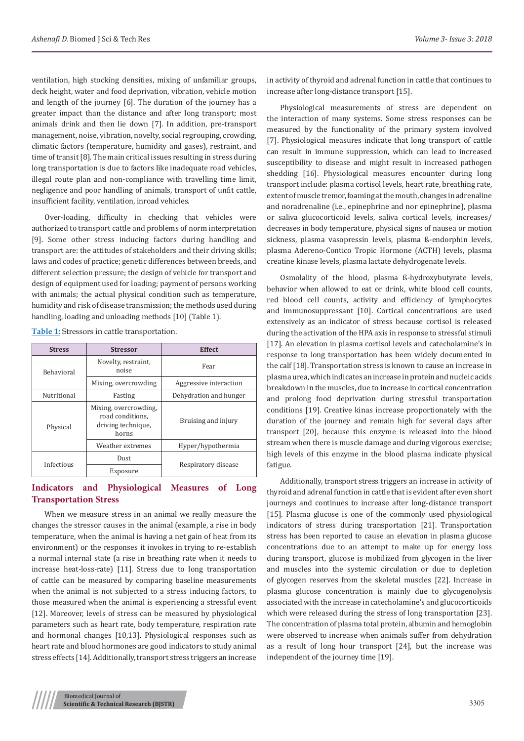ventilation, high stocking densities, mixing of unfamiliar groups, deck height, water and food deprivation, vibration, vehicle motion and length of the journey [6]. The duration of the journey has a greater impact than the distance and after long transport; most animals drink and then lie down [7]. In addition, pre-transport management, noise, vibration, novelty, social regrouping, crowding, climatic factors (temperature, humidity and gases), restraint, and time of transit [8]. The main critical issues resulting in stress during long transportation is due to factors like inadequate road vehicles, illegal route plan and non-compliance with travelling time limit, negligence and poor handling of animals, transport of unfit cattle, insufficient facility, ventilation, inroad vehicles.

Over-loading, difficulty in checking that vehicles were authorized to transport cattle and problems of norm interpretation [9]. Some other stress inducing factors during handling and transport are: the attitudes of stakeholders and their driving skills; laws and codes of practice; genetic differences between breeds, and different selection pressure; the design of vehicle for transport and design of equipment used for loading; payment of persons working with animals; the actual physical condition such as temperature, humidity and risk of disease transmission; the methods used during handling, loading and unloading methods [10] (Table 1).

| <b>Stress</b>     | <b>Stressor</b>                                                          | <b>Effect</b>          |
|-------------------|--------------------------------------------------------------------------|------------------------|
| <b>Behavioral</b> | Novelty, restraint,<br>noise                                             | Fear                   |
|                   | Mixing, overcrowding                                                     | Aggressive interaction |
| Nutritional       | Fasting                                                                  | Dehydration and hunger |
| Physical          | Mixing, overcrowding,<br>road conditions.<br>driving technique,<br>horns | Bruising and injury    |
|                   | Weather extremes                                                         | Hyper/hypothermia      |
| Infectious        | Dust                                                                     | Respiratory disease    |
|                   | Exposure                                                                 |                        |

**Table 1:** Stressors in cattle transportation.

# **Indicators and Physiological Measures of Long Transportation Stress**

When we measure stress in an animal we really measure the changes the stressor causes in the animal (example, a rise in body temperature, when the animal is having a net gain of heat from its environment) or the responses it invokes in trying to re-establish a normal internal state (a rise in breathing rate when it needs to increase heat-loss-rate) [11]. Stress due to long transportation of cattle can be measured by comparing baseline measurements when the animal is not subjected to a stress inducing factors, to those measured when the animal is experiencing a stressful event [12]. Moreover, levels of stress can be measured by physiological parameters such as heart rate, body temperature, respiration rate and hormonal changes [10,13]. Physiological responses such as heart rate and blood hormones are good indicators to study animal stress effects [14]. Additionally, transport stress triggers an increase

in activity of thyroid and adrenal function in cattle that continues to increase after long-distance transport [15].

Physiological measurements of stress are dependent on the interaction of many systems. Some stress responses can be measured by the functionality of the primary system involved [7]. Physiological measures indicate that long transport of cattle can result in immune suppression, which can lead to increased susceptibility to disease and might result in increased pathogen shedding [16]. Physiological measures encounter during long transport include: plasma cortisol levels, heart rate, breathing rate, extent of muscle tremor, foaming at the mouth, changes in adrenaline and noradrenaline (i.e., epinephrine and nor epinephrine), plasma or saliva glucocorticoid levels, saliva cortical levels, increases/ decreases in body temperature, physical signs of nausea or motion sickness, plasma vasopressin levels, plasma ß-endorphin levels, plasma Adereno-Contico Tropic Hormone (ACTH) levels, plasma creatine kinase levels, plasma lactate dehydrogenate levels.

Osmolality of the blood, plasma ß-hydroxybutyrate levels, behavior when allowed to eat or drink, white blood cell counts, red blood cell counts, activity and efficiency of lymphocytes and immunosuppressant [10]. Cortical concentrations are used extensively as an indicator of stress because cortisol is released during the activation of the HPA axis in response to stressful stimuli [17]. An elevation in plasma cortisol levels and catecholamine's in response to long transportation has been widely documented in the calf [18]. Transportation stress is known to cause an increase in plasma urea, which indicates an increase in protein and nucleic acids breakdown in the muscles, due to increase in cortical concentration and prolong food deprivation during stressful transportation conditions [19]. Creative kinas increase proportionately with the duration of the journey and remain high for several days after transport [20], because this enzyme is released into the blood stream when there is muscle damage and during vigorous exercise; high levels of this enzyme in the blood plasma indicate physical fatigue.

Additionally, transport stress triggers an increase in activity of thyroid and adrenal function in cattle that is evident after even short journeys and continues to increase after long-distance transport [15]. Plasma glucose is one of the commonly used physiological indicators of stress during transportation [21]. Transportation stress has been reported to cause an elevation in plasma glucose concentrations due to an attempt to make up for energy loss during transport, glucose is mobilized from glycogen in the liver and muscles into the systemic circulation or due to depletion of glycogen reserves from the skeletal muscles [22]. Increase in plasma glucose concentration is mainly due to glycogenolysis associated with the increase in catecholamine's and glucocorticoids which were released during the stress of long transportation [23]. The concentration of plasma total protein, albumin and hemoglobin were observed to increase when animals suffer from dehydration as a result of long hour transport [24], but the increase was independent of the journey time [19].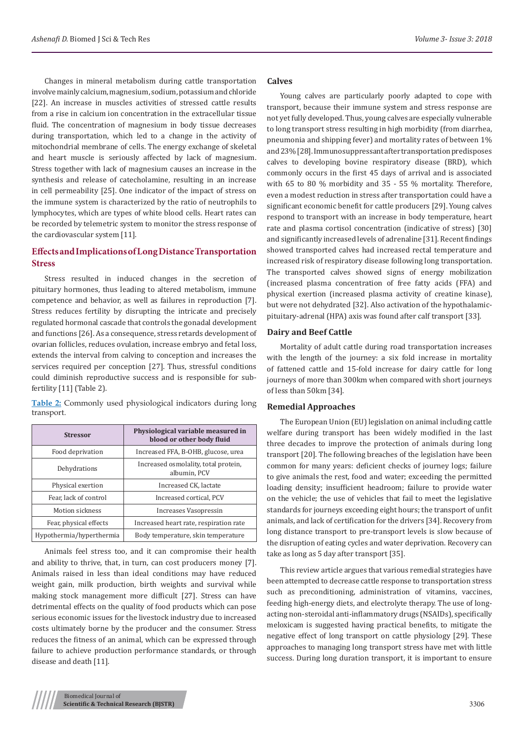Changes in mineral metabolism during cattle transportation involve mainly calcium, magnesium, sodium, potassium and chloride [22]. An increase in muscles activities of stressed cattle results from a rise in calcium ion concentration in the extracellular tissue fluid. The concentration of magnesium in body tissue decreases during transportation, which led to a change in the activity of mitochondrial membrane of cells. The energy exchange of skeletal and heart muscle is seriously affected by lack of magnesium. Stress together with lack of magnesium causes an increase in the synthesis and release of catecholamine, resulting in an increase in cell permeability [25]. One indicator of the impact of stress on the immune system is characterized by the ratio of neutrophils to lymphocytes, which are types of white blood cells. Heart rates can be recorded by telemetric system to monitor the stress response of the cardiovascular system [11].

# **Effects and Implications of Long Distance Transportation Stress**

Stress resulted in induced changes in the secretion of pituitary hormones, thus leading to altered metabolism, immune competence and behavior, as well as failures in reproduction [7]. Stress reduces fertility by disrupting the intricate and precisely regulated hormonal cascade that controls the gonadal development and functions [26]. As a consequence, stress retards development of ovarian follicles, reduces ovulation, increase embryo and fetal loss, extends the interval from calving to conception and increases the services required per conception [27]. Thus, stressful conditions could diminish reproductive success and is responsible for subfertility [11] (Table 2).

**Table 2:** Commonly used physiological indicators during long transport.

| <b>Stressor</b>          | Physiological variable measured in<br>blood or other body fluid |
|--------------------------|-----------------------------------------------------------------|
| Food deprivation         | Increased FFA, B-OHB, glucose, urea                             |
| Dehydrations             | Increased osmolality, total protein,<br>albumin, PCV            |
| Physical exertion        | Increased CK, lactate                                           |
| Fear, lack of control    | Increased cortical, PCV                                         |
| Motion sickness          | Increases Vasopressin                                           |
| Fear, physical effects   | Increased heart rate, respiration rate                          |
| Hypothermia/hyperthermia | Body temperature, skin temperature                              |

Animals feel stress too, and it can compromise their health and ability to thrive, that, in turn, can cost producers money [7]. Animals raised in less than ideal conditions may have reduced weight gain, milk production, birth weights and survival while making stock management more difficult [27]. Stress can have detrimental effects on the quality of food products which can pose serious economic issues for the livestock industry due to increased costs ultimately borne by the producer and the consumer. Stress reduces the fitness of an animal, which can be expressed through failure to achieve production performance standards, or through disease and death [11].

## **Calves**

Young calves are particularly poorly adapted to cope with transport, because their immune system and stress response are not yet fully developed. Thus, young calves are especially vulnerable to long transport stress resulting in high morbidity (from diarrhea, pneumonia and shipping fever) and mortality rates of between 1% and 23% [28]. Immunosuppressant after transportation predisposes calves to developing bovine respiratory disease (BRD), which commonly occurs in the first 45 days of arrival and is associated with 65 to 80 % morbidity and 35 - 55 % mortality. Therefore, even a modest reduction in stress after transportation could have a significant economic benefit for cattle producers [29]. Young calves respond to transport with an increase in body temperature, heart rate and plasma cortisol concentration (indicative of stress) [30] and significantly increased levels of adrenaline [31]. Recent findings showed transported calves had increased rectal temperature and increased risk of respiratory disease following long transportation. The transported calves showed signs of energy mobilization (increased plasma concentration of free fatty acids (FFA) and physical exertion (increased plasma activity of creatine kinase), but were not dehydrated [32]. Also activation of the hypothalamicpituitary-adrenal (HPA) axis was found after calf transport [33].

## **Dairy and Beef Cattle**

Mortality of adult cattle during road transportation increases with the length of the journey: a six fold increase in mortality of fattened cattle and 15-fold increase for dairy cattle for long journeys of more than 300km when compared with short journeys of less than 50km [34].

## **Remedial Approaches**

The European Union (EU) legislation on animal including cattle welfare during transport has been widely modified in the last three decades to improve the protection of animals during long transport [20]. The following breaches of the legislation have been common for many years: deficient checks of journey logs; failure to give animals the rest, food and water; exceeding the permitted loading density; insufficient headroom; failure to provide water on the vehicle; the use of vehicles that fail to meet the legislative standards for journeys exceeding eight hours; the transport of unfit animals, and lack of certification for the drivers [34]. Recovery from long distance transport to pre-transport levels is slow because of the disruption of eating cycles and water deprivation. Recovery can take as long as 5 day after transport [35].

This review article argues that various remedial strategies have been attempted to decrease cattle response to transportation stress such as preconditioning, administration of vitamins, vaccines, feeding high-energy diets, and electrolyte therapy. The use of longacting non-steroidal anti-inflammatory drugs (NSAIDs), specifically meloxicam is suggested having practical benefits, to mitigate the negative effect of long transport on cattle physiology [29]. These approaches to managing long transport stress have met with little success. During long duration transport, it is important to ensure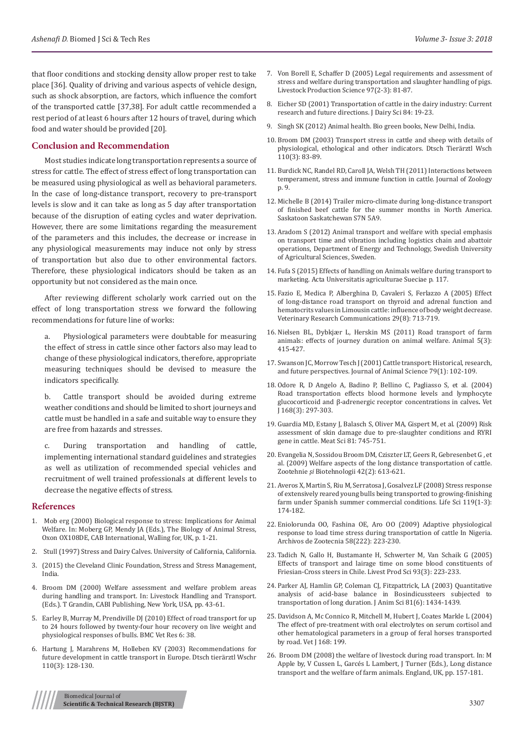that floor conditions and stocking density allow proper rest to take place [36]. Quality of driving and various aspects of vehicle design, such as shock absorption, are factors, which influence the comfort of the transported cattle [37,38]. For adult cattle recommended a rest period of at least 6 hours after 12 hours of travel, during which food and water should be provided [20].

### **Conclusion and Recommendation**

Most studies indicate long transportation represents a source of stress for cattle. The effect of stress effect of long transportation can be measured using physiological as well as behavioral parameters. In the case of long-distance transport, recovery to pre-transport levels is slow and it can take as long as 5 day after transportation because of the disruption of eating cycles and water deprivation. However, there are some limitations regarding the measurement of the parameters and this includes, the decrease or increase in any physiological measurements may induce not only by stress of transportation but also due to other environmental factors. Therefore, these physiological indicators should be taken as an opportunity but not considered as the main once.

After reviewing different scholarly work carried out on the effect of long transportation stress we forward the following recommendations for future line of works:

a. Physiological parameters were doubtable for measuring the effect of stress in cattle since other factors also may lead to change of these physiological indicators, therefore, appropriate measuring techniques should be devised to measure the indicators specifically.

b. Cattle transport should be avoided during extreme weather conditions and should be limited to short journeys and cattle must be handled in a safe and suitable way to ensure they are free from hazards and stresses.

c. During transportation and handling of cattle, implementing international standard guidelines and strategies as well as utilization of recommended special vehicles and recruitment of well trained professionals at different levels to decrease the negative effects of stress.

#### **References**

- 1. Mob erg (2000) Biological response to stress: Implications for Animal Welfare. In: Moberg GP, Mendy JA (Eds.), The Biology of Animal Stress, Oxon OX108DE, CAB International, Walling for, UK, p. 1-21.
- 2. Stull (1997) Stress and Dairy Calves. University of California, California.
- 3. (2015) the Cleveland Clinic Foundation, Stress and Stress Management, India.
- 4. [Broom DM \(2000\) Welfare assessment and welfare problem areas](https://www.researchgate.net/publication/284848818_Welfare_assessment_and_welfare_problem_areas_during_handling_and_transport)  during handling and transport. [In: Livestock Handling and Transport.](https://www.researchgate.net/publication/284848818_Welfare_assessment_and_welfare_problem_areas_during_handling_and_transport)  [\(Eds.\). T Grandin, CABI Publishing, New York, USA, pp. 43-61.](https://www.researchgate.net/publication/284848818_Welfare_assessment_and_welfare_problem_areas_during_handling_and_transport)
- 5. Earley B, Murray M, [Prendiville DJ \(2010\) Effect of road transport for up](https://www.ncbi.nlm.nih.gov/pubmed/20646269/)  [to 24 hours followed by twenty-four hour recovery on live weight and](https://www.ncbi.nlm.nih.gov/pubmed/20646269/)  [physiological responses of bulls. BMC Vet Res 6: 38.](https://www.ncbi.nlm.nih.gov/pubmed/20646269/)
- 6. [Hartung J, Marahrens M, Holleben KV \(2003\) Recommendations for](https://www.ncbi.nlm.nih.gov/pubmed/12731115)  [future development in cattle transport in Europe.](https://www.ncbi.nlm.nih.gov/pubmed/12731115) Dtsch tierärztl Wschr [110\(3\): 128-130.](https://www.ncbi.nlm.nih.gov/pubmed/12731115)
- 7. [Von Borell E, Schaffer D \(2005\) Legal requirements and assessment of](https://www.sciencedirect.com/science/article/pii/S0301622605001041) [stress and welfare during transportation and slaughter handling of pigs.](https://www.sciencedirect.com/science/article/pii/S0301622605001041) [Livestock Production Science 97\(2-3\): 81-87.](https://www.sciencedirect.com/science/article/pii/S0301622605001041)
- 8. [Eicher SD \(2001\) Transportation of cattle in the dairy industry: Current](https://www.sciencedirect.com/science/article/pii/S0022030201701920) [research and future directions](https://www.sciencedirect.com/science/article/pii/S0022030201701920)*.* J Dairy Sci 84: 19-23.
- 9. Singh SK (2012) Animal health. Bio green books, New Delhi, India.
- 10. [Broom DM \(2003\) Transport stress in cattle and sheep with details of](https://www.ncbi.nlm.nih.gov/pubmed/12731104) [physiological, ethological and other indicators. Dtsch Tierärztl Wsch](https://www.ncbi.nlm.nih.gov/pubmed/12731104) [110\(3\): 83-89.](https://www.ncbi.nlm.nih.gov/pubmed/12731104)
- 11. [Burdick NC, Randel RD, Caroll JA, Welsh TH \(2011\) Interactions between](https://www.hindawi.com/journals/ijz/2011/373197/) [temperament, stress and immune function in cattle.](https://www.hindawi.com/journals/ijz/2011/373197/) Journal of Zoology [p. 9.](https://www.hindawi.com/journals/ijz/2011/373197/)
- 12. [Michelle B \(2014\) Trailer micro-climate during long-distance transport](https://ecommons.usask.ca/handle/10388/ETD-2013-12-1378) [of finished beef cattle for the summer months in North America.](https://ecommons.usask.ca/handle/10388/ETD-2013-12-1378) [Saskatoon Saskatchewan S7N 5A9.](https://ecommons.usask.ca/handle/10388/ETD-2013-12-1378)
- 13. Aradom S (2012) Animal transport and welfare with special emphasis on transport time and vibration including logistics chain and abattoir operations, Department of Energy and Technology, Swedish University of Agricultural Sciences, Sweden.
- 14. Fufa S (2015) Effects [of handling on Animals welfare during transport to](https://pub.epsilon.slu.se/12824/) [marketing. Acta Universitatis agriculturae Sueciae p. 117.](https://pub.epsilon.slu.se/12824/)
- 15. [Fazio E, Medica P, Alberghina D, Cavaleri S, Ferlazzo A \(2005\) Effect](https://www.ncbi.nlm.nih.gov/pubmed/16369885) [of long-distance road transport on thyroid and adrenal function and](https://www.ncbi.nlm.nih.gov/pubmed/16369885) [hematocrits values in Limousin cattle: influence of body weight decrease.](https://www.ncbi.nlm.nih.gov/pubmed/16369885) [Veterinary Research Communications](https://www.ncbi.nlm.nih.gov/pubmed/16369885) 29(8): 713-719.
- 16. [Nielsen BL, Dybkjær L, Herskin MS \(2011\) Road transport of farm](https://www.ncbi.nlm.nih.gov/pubmed/22445408) [animals: effects of journey duration on animal welfare.](https://www.ncbi.nlm.nih.gov/pubmed/22445408) Animal 5(3): [415-427.](https://www.ncbi.nlm.nih.gov/pubmed/22445408)
- 17. [Swanson JC, Morrow Tesch J \(2001\) Cattle transport: Historical, research,](https://academic.oup.com/jas/article/79/suppl_E/E102/4626028) and future perspectives. [Journal of Animal Science 79\(1\): 102-109.](https://academic.oup.com/jas/article/79/suppl_E/E102/4626028)
- 18. [Odore R, D Angelo A, Badino P, Bellino C, Pagliasso S, et al. \(2004\)](https://www.ncbi.nlm.nih.gov/pubmed/15501147/) [Road transportation effects blood hormone levels and lymphocyte](https://www.ncbi.nlm.nih.gov/pubmed/15501147/) [glucocorticoid and β-adrenergic receptor concentrations in calves](https://www.ncbi.nlm.nih.gov/pubmed/15501147/)**.** Vet [J 168\(3\): 297-303.](https://www.ncbi.nlm.nih.gov/pubmed/15501147/)
- 19. [Guardia MD, Estany J, Balasch S, Oliver MA, Gispert M, et al. \(2009\)](https://www.ncbi.nlm.nih.gov/pubmed/15501147/) Risk [assessment of skin damage due to pre-slaughter conditions and RYRI](https://www.ncbi.nlm.nih.gov/pubmed/15501147/) [gene in cattle. Meat Sci](https://www.ncbi.nlm.nih.gov/pubmed/15501147/) 81: 745-751.
- 20. [Evangelia N, Sossidou Broom DM, Cziszter LT, Geers R, Gebresenbet G , et](http://docplayer.net/2347924-Welfare-aspects-of-the-long-distance-transportation-of-cattle-aspecte-ale-bunastarii-in-transportul-taurinelor-la-distante-mari.html) [al. \(2009\) Welfare aspects of the long distance transportation of cattle.](http://docplayer.net/2347924-Welfare-aspects-of-the-long-distance-transportation-of-cattle-aspecte-ale-bunastarii-in-transportul-taurinelor-la-distante-mari.html) Zootehnie *şi* Biotehnologii 42(2): 613-621.
- 21. [Averos X, Martin S, Riu M, Serratosa J, Gosalvez LF \(2008\) Stress response](https://www.sciencedirect.com/science/article/pii/S1871141308001121) [of extensively reared young bulls being transported to growing-finishing](https://www.sciencedirect.com/science/article/pii/S1871141308001121) [farm under Spanish summer commercial conditions](https://www.sciencedirect.com/science/article/pii/S1871141308001121)*.* Life Sci 119(1-3): [174-182.](https://www.sciencedirect.com/science/article/pii/S1871141308001121)
- 22. [Eniolorunda OO, Fashina OE, Aro OO \(2009\) Adaptive physiological](https://www.researchgate.net/publication/242156494_Adaptive_physiological_response_to_load_time_stress_during_transportation_of_cattle_in_Nigeria) [response to load time stress during transportation of cattle In Nigeria.](https://www.researchgate.net/publication/242156494_Adaptive_physiological_response_to_load_time_stress_during_transportation_of_cattle_in_Nigeria) [Archivos de Zootecnia](https://www.researchgate.net/publication/242156494_Adaptive_physiological_response_to_load_time_stress_during_transportation_of_cattle_in_Nigeria) 58(222): 223-230.
- 23. [Tadich N, Gallo H, Bustamante H, Schwerter M, Van Schaik G \(2005\)](https://www.sciencedirect.com/science/article/pii/S0301622604002398) [Effects of transport and lairage time on some blood constituents of](https://www.sciencedirect.com/science/article/pii/S0301622604002398) [Friesian-Cross steers in Chile. Livest Prod Sci 93\(3\): 223-233.](https://www.sciencedirect.com/science/article/pii/S0301622604002398)
- 24. [Parker AJ, Hamlin GP, Coleman CJ, Fitzpattrick, LA \(2003\) Quantitative](https://www.ncbi.nlm.nih.gov/pubmed/12817490) [analysis of acid-base balance in Bosindicussteers subjected to](https://www.ncbi.nlm.nih.gov/pubmed/12817490) [transportation of long duration](https://www.ncbi.nlm.nih.gov/pubmed/12817490)*.* J Anim Sci 81(6): 1434-1439.
- 25. Davidson A, Mc Connico R, Mitchell M, Hubert J, Coates Markle L (2004) The effect of pre-treatment with oral electrolytes on serum cortisol and other hematological parameters in a group of feral horses transported by road. Vet J 168: 199.
- 26. Broom DM (2008) the welfare of livestock during road transport. In: M Apple by, V Cussen L, Garcés L Lambert, J Turner (Eds.), Long distance transport and the welfare of farm animals. England, UK, pp. 157-181.

Biomedical Journal of **Scientific & Technical Research (BJSTR)** 3307